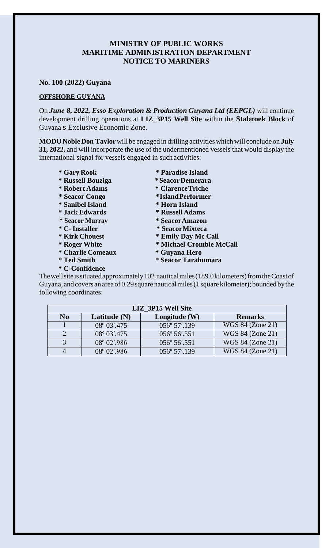## **MINISTRY OF PUBLIC WORKS MARITIME ADMINISTRATION DEPARTMENT NOTICE TO MARINERS**

**No. 100 (2022) Guyana**

## **OFFSHORE GUYANA**

On *June 8, 2022, Esso Exploration & Production Guyana Ltd (EEPGL)* will continue development drilling operations at **LIZ\_3P15 Well Site** within the **Stabroek Block** of Guyana's Exclusive Economic Zone.

**MODU Noble Don Taylor**will be engaged in drilling activitieswhich will conclude on **July 31, 2022,** and will incorporate the use of the undermentioned vessels that would display the international signal for vessels engaged in such activities:

**\* Gary Rook \* Paradise Island \* Russell Bouziga \*SeacorDemerara \* Robert Adams \* ClarenceTriche \* Seacor Congo \*IslandPerformer \* Sanibel Island \* Horn Island \* Jack Edwards \* Russell Adams \* Seacor Murray \* SeacorAmazon \* C- Installer \* SeacorMixteca \* Kirk Chouest \* Emily Day Mc Call \* Roger White \* Michael Crombie McCall \* Charlie Comeaux \* Guyana Hero \* Ted Smith \* Seacor Tarahumara \* C-Confidence**

Thewellsiteissituatedapproximately102 nauticalmiles(189.0kilometers)fromtheCoastof Guyana, and covers an areaof 0.29 square nauticalmiles(1 square kilometer); bounded bythe following coordinates:

| <b>LIZ 3P15 Well Site</b> |                |                 |                  |
|---------------------------|----------------|-----------------|------------------|
| No                        | Latitude $(N)$ | Longitude $(W)$ | <b>Remarks</b>   |
|                           | 08° 03'.475    | 056° 57'.139    | WGS 84 (Zone 21) |
|                           | 08° 03'.475    | 056° 56'.551    | WGS 84 (Zone 21) |
|                           | 08° 02'.986    | 056° 56'.551    | WGS 84 (Zone 21) |
|                           | 08° 02'.986    | 056° 57'.139    | WGS 84 (Zone 21) |